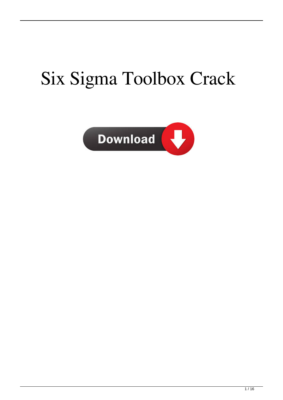# Six Sigma Toolbox Crack

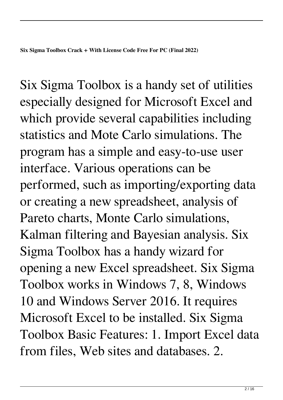Six Sigma Toolbox is a handy set of utilities especially designed for Microsoft Excel and which provide several capabilities including statistics and Mote Carlo simulations. The program has a simple and easy-to-use user interface. Various operations can be performed, such as importing/exporting data or creating a new spreadsheet, analysis of Pareto charts, Monte Carlo simulations, Kalman filtering and Bayesian analysis. Six Sigma Toolbox has a handy wizard for opening a new Excel spreadsheet. Six Sigma Toolbox works in Windows 7, 8, Windows 10 and Windows Server 2016. It requires Microsoft Excel to be installed. Six Sigma Toolbox Basic Features: 1. Import Excel data from files, Web sites and databases. 2.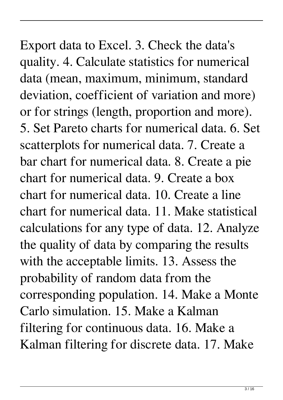Export data to Excel. 3. Check the data's quality. 4. Calculate statistics for numerical data (mean, maximum, minimum, standard deviation, coefficient of variation and more) or for strings (length, proportion and more). 5. Set Pareto charts for numerical data. 6. Set scatterplots for numerical data. 7. Create a bar chart for numerical data. 8. Create a pie chart for numerical data. 9. Create a box chart for numerical data. 10. Create a line chart for numerical data. 11. Make statistical calculations for any type of data. 12. Analyze the quality of data by comparing the results with the acceptable limits. 13. Assess the probability of random data from the corresponding population. 14. Make a Monte Carlo simulation. 15. Make a Kalman filtering for continuous data. 16. Make a Kalman filtering for discrete data. 17. Make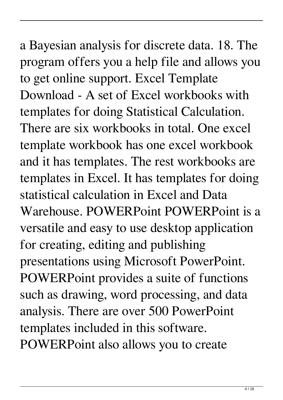a Bayesian analysis for discrete data. 18. The program offers you a help file and allows you to get online support. Excel Template Download - A set of Excel workbooks with templates for doing Statistical Calculation. There are six workbooks in total. One excel template workbook has one excel workbook and it has templates. The rest workbooks are templates in Excel. It has templates for doing statistical calculation in Excel and Data Warehouse. POWERPoint POWERPoint is a versatile and easy to use desktop application for creating, editing and publishing presentations using Microsoft PowerPoint. POWERPoint provides a suite of functions such as drawing, word processing, and data analysis. There are over 500 PowerPoint templates included in this software. POWERPoint also allows you to create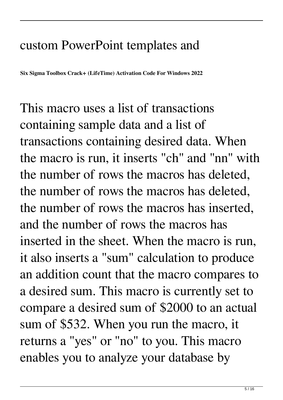### custom PowerPoint templates and

**Six Sigma Toolbox Crack+ (LifeTime) Activation Code For Windows 2022**

This macro uses a list of transactions containing sample data and a list of transactions containing desired data. When the macro is run, it inserts "ch" and "nn" with the number of rows the macros has deleted, the number of rows the macros has deleted, the number of rows the macros has inserted, and the number of rows the macros has inserted in the sheet. When the macro is run, it also inserts a "sum" calculation to produce an addition count that the macro compares to a desired sum. This macro is currently set to compare a desired sum of \$2000 to an actual sum of \$532. When you run the macro, it returns a "yes" or "no" to you. This macro enables you to analyze your database by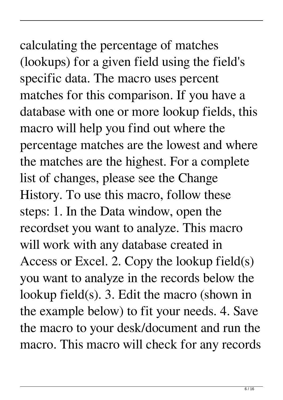# calculating the percentage of matches (lookups) for a given field using the field's specific data. The macro uses percent matches for this comparison. If you have a

database with one or more lookup fields, this macro will help you find out where the percentage matches are the lowest and where the matches are the highest. For a complete list of changes, please see the Change History. To use this macro, follow these steps: 1. In the Data window, open the recordset you want to analyze. This macro will work with any database created in Access or Excel. 2. Copy the lookup field(s) you want to analyze in the records below the lookup field(s). 3. Edit the macro (shown in the example below) to fit your needs. 4. Save the macro to your desk/document and run the macro. This macro will check for any records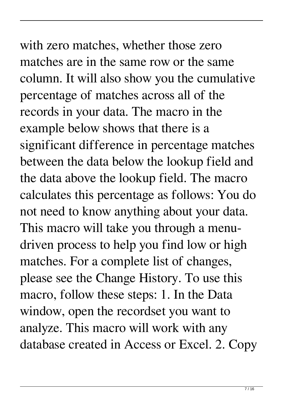## with zero matches, whether those zero matches are in the same row or the same column. It will also show you the cumulative percentage of matches across all of the records in your data. The macro in the example below shows that there is a

significant difference in percentage matches between the data below the lookup field and the data above the lookup field. The macro calculates this percentage as follows: You do not need to know anything about your data. This macro will take you through a menudriven process to help you find low or high matches. For a complete list of changes, please see the Change History. To use this macro, follow these steps: 1. In the Data window, open the recordset you want to analyze. This macro will work with any database created in Access or Excel. 2. Copy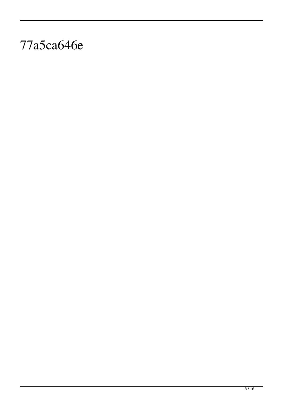### 77a5ca646e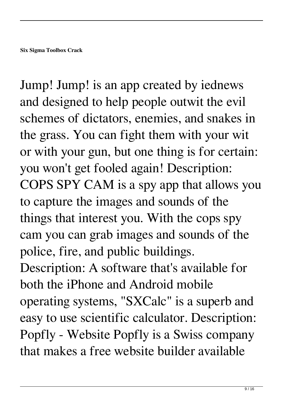Jump! Jump! is an app created by iednews and designed to help people outwit the evil schemes of dictators, enemies, and snakes in the grass. You can fight them with your wit or with your gun, but one thing is for certain: you won't get fooled again! Description: COPS SPY CAM is a spy app that allows you to capture the images and sounds of the things that interest you. With the cops spy cam you can grab images and sounds of the police, fire, and public buildings. Description: A software that's available for both the iPhone and Android mobile operating systems, "SXCalc" is a superb and easy to use scientific calculator. Description: Popfly - Website Popfly is a Swiss company that makes a free website builder available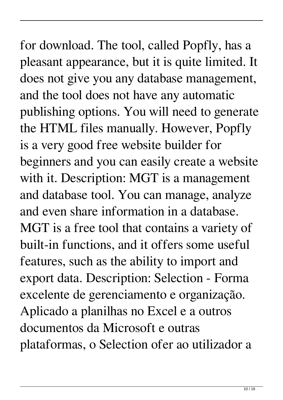for download. The tool, called Popfly, has a pleasant appearance, but it is quite limited. It does not give you any database management, and the tool does not have any automatic publishing options. You will need to generate the HTML files manually. However, Popfly is a very good free website builder for beginners and you can easily create a website with it. Description: MGT is a management and database tool. You can manage, analyze and even share information in a database. MGT is a free tool that contains a variety of built-in functions, and it offers some useful features, such as the ability to import and export data. Description: Selection - Forma excelente de gerenciamento e organização. Aplicado a planilhas no Excel e a outros documentos da Microsoft e outras plataformas, o Selection ofer ao utilizador a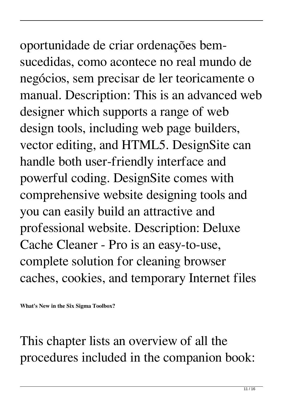oportunidade de criar ordenações bemsucedidas, como acontece no real mundo de negócios, sem precisar de ler teoricamente o manual. Description: This is an advanced web designer which supports a range of web design tools, including web page builders, vector editing, and HTML5. DesignSite can handle both user-friendly interface and powerful coding. DesignSite comes with comprehensive website designing tools and you can easily build an attractive and professional website. Description: Deluxe Cache Cleaner - Pro is an easy-to-use, complete solution for cleaning browser caches, cookies, and temporary Internet files

**What's New in the Six Sigma Toolbox?**

This chapter lists an overview of all the procedures included in the companion book: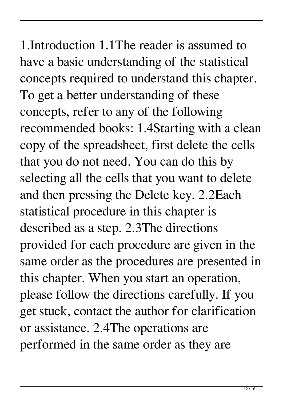1.Introduction 1.1The reader is assumed to have a basic understanding of the statistical concepts required to understand this chapter. To get a better understanding of these concepts, refer to any of the following recommended books: 1.4Starting with a clean copy of the spreadsheet, first delete the cells that you do not need. You can do this by selecting all the cells that you want to delete and then pressing the Delete key. 2.2Each statistical procedure in this chapter is described as a step. 2.3The directions provided for each procedure are given in the same order as the procedures are presented in this chapter. When you start an operation, please follow the directions carefully. If you get stuck, contact the author for clarification or assistance. 2.4The operations are performed in the same order as they are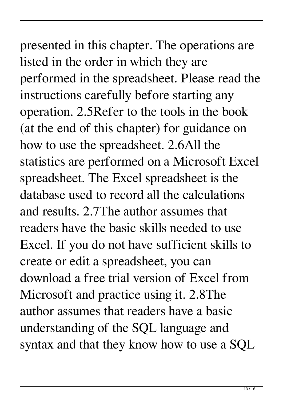## presented in this chapter. The operations are listed in the order in which they are performed in the spreadsheet. Please read the instructions carefully before starting any operation. 2.5Refer to the tools in the book (at the end of this chapter) for guidance on how to use the spreadsheet. 2.6All the statistics are performed on a Microsoft Excel spreadsheet. The Excel spreadsheet is the database used to record all the calculations and results. 2.7The author assumes that readers have the basic skills needed to use Excel. If you do not have sufficient skills to create or edit a spreadsheet, you can download a free trial version of Excel from Microsoft and practice using it. 2.8The author assumes that readers have a basic understanding of the SQL language and

syntax and that they know how to use a SQL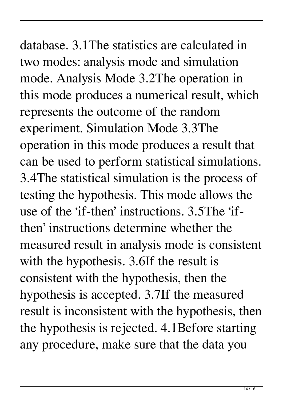database. 3.1The statistics are calculated in two modes: analysis mode and simulation mode. Analysis Mode 3.2The operation in this mode produces a numerical result, which represents the outcome of the random experiment. Simulation Mode 3.3The operation in this mode produces a result that can be used to perform statistical simulations. 3.4The statistical simulation is the process of testing the hypothesis. This mode allows the use of the 'if-then' instructions. 3.5The 'ifthen' instructions determine whether the measured result in analysis mode is consistent with the hypothesis. 3.6If the result is consistent with the hypothesis, then the hypothesis is accepted. 3.7If the measured result is inconsistent with the hypothesis, then the hypothesis is rejected. 4.1Before starting any procedure, make sure that the data you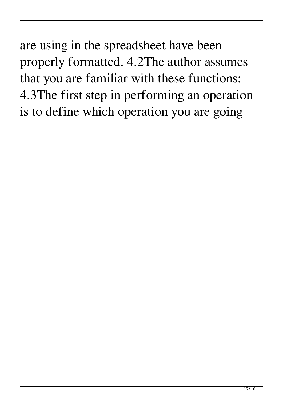are using in the spreadsheet have been properly formatted. 4.2The author assumes that you are familiar with these functions: 4.3The first step in performing an operation is to define which operation you are going